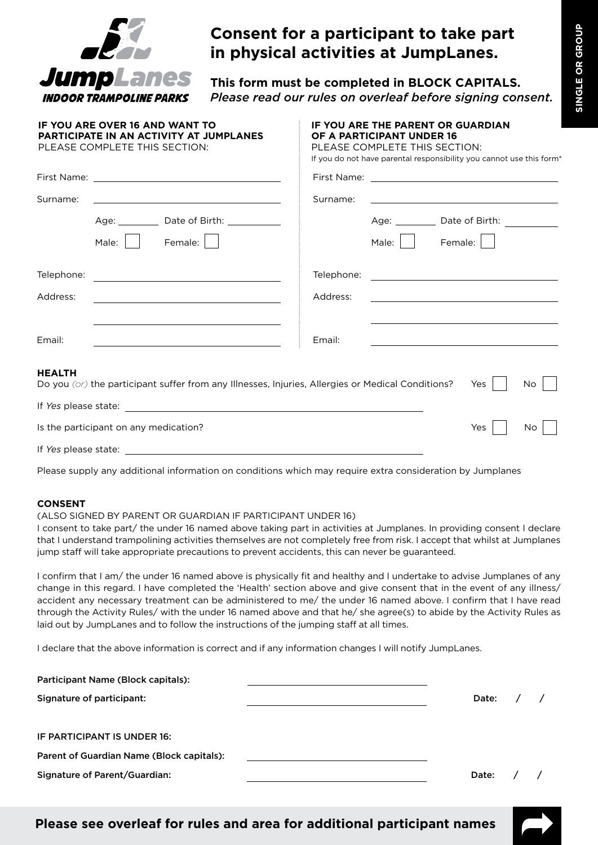

## **Consent for a participant to take part in physical activities at JumpLanes.**

**This form must be completed in BLOCK CAPITALS.** *Please read our rules on overleaf before signing consent.*

|               | <b>IF YOU ARE OVER 16 AND WANT TO</b><br><b>PARTICIPATE IN AN ACTIVITY AT JUMPLANES</b><br>PLEASE COMPLETE THIS SECTION:                                                                                                                                                                                                                                                                                                                                       | <b>IF YOU ARE THE PARENT OR GUARDIAN</b><br>OF A PARTICIPANT UNDER 16<br>PLEASE COMPLETE THIS SECTION:<br>If you do not have parental responsibility you cannot use this form <sup>*</sup> |                                                                     |  |  |
|---------------|----------------------------------------------------------------------------------------------------------------------------------------------------------------------------------------------------------------------------------------------------------------------------------------------------------------------------------------------------------------------------------------------------------------------------------------------------------------|--------------------------------------------------------------------------------------------------------------------------------------------------------------------------------------------|---------------------------------------------------------------------|--|--|
|               |                                                                                                                                                                                                                                                                                                                                                                                                                                                                |                                                                                                                                                                                            |                                                                     |  |  |
| Surname:      | <u> 1989 - Johann Stein, mars an deus Amerikaansk kommunister (</u>                                                                                                                                                                                                                                                                                                                                                                                            | Surname:                                                                                                                                                                                   | <u> 1989 - Johann Barn, amerikansk politiker (d. 1989)</u>          |  |  |
|               | Age: Date of Birth: 2000                                                                                                                                                                                                                                                                                                                                                                                                                                       |                                                                                                                                                                                            | Age: ____________ Date of Birth: _____________                      |  |  |
|               | Female:  <br>Male:                                                                                                                                                                                                                                                                                                                                                                                                                                             |                                                                                                                                                                                            | Male: $\vert$ $\vert$<br>Female:                                    |  |  |
| Telephone:    | <u> 1980 - Johann Barn, amerikansk politiker (</u>                                                                                                                                                                                                                                                                                                                                                                                                             | Telephone:                                                                                                                                                                                 | <u> 1980 - Johann Stein, mars an deus Amerikaansk kommunister (</u> |  |  |
| Address:      |                                                                                                                                                                                                                                                                                                                                                                                                                                                                | Address:                                                                                                                                                                                   | <u> 1989 - Johann Stein, mars an deus Amerikaansk kommunister (</u> |  |  |
| Email:        | the control of the control of the control of the control of the control of the control of the control of the control of the control of the control of the control of the control of the control of the control of the control<br>the control of the control of the control of the control of the control of the control of the control of the control of the control of the control of the control of the control of the control of the control of the control | Email:                                                                                                                                                                                     | <u> 1989 - Andrea Barbara, amerikan personal (h. 1989).</u>         |  |  |
| <b>HEALTH</b> | Do you (or) the participant suffer from any Illnesses, Injuries, Allergies or Medical Conditions?                                                                                                                                                                                                                                                                                                                                                              |                                                                                                                                                                                            | Yes<br>No.                                                          |  |  |
|               |                                                                                                                                                                                                                                                                                                                                                                                                                                                                |                                                                                                                                                                                            |                                                                     |  |  |
|               | Is the participant on any medication?                                                                                                                                                                                                                                                                                                                                                                                                                          |                                                                                                                                                                                            | Yes<br>No                                                           |  |  |

If *Yes* please state:

Please supply any additional information on conditions which may require extra consideration by Jumplanes

## **CONSENT**

(ALSO SIGNED BY PARENT OR GUARDIAN IF PARTICIPANT UNDER 16)

I consent to take part/ the under 16 named above taking part in activities at Jumplanes. In providing consent I declare that I understand trampolining activities themselves are not completely free from risk. I accept that whilst at Jumplanes jump staff will take appropriate precautions to prevent accidents, this can never be guaranteed.

I confirm that I am/ the under 16 named above is physically fit and healthy and I undertake to advise Jumplanes of any change in this regard. I have completed the 'Health' section above and give consent that in the event of any illness/ accident any necessary treatment can be administered to me/ the under 16 named above. I confirm that I have read through the Activity Rules/ with the under 16 named above and that he/ she agree(s) to abide by the Activity Rules as laid out by JumpLanes and to follow the instructions of the jumping staff at all times.

I declare that the above information is correct and if any information changes I will notify JumpLanes.

| Participant Name (Block capitals):        |  |             |  |
|-------------------------------------------|--|-------------|--|
| Signature of participant:                 |  | Date: $/$ / |  |
| IF PARTICIPANT IS UNDER 16:               |  |             |  |
| Parent of Guardian Name (Block capitals): |  |             |  |
| Signature of Parent/Guardian:             |  | Date:       |  |